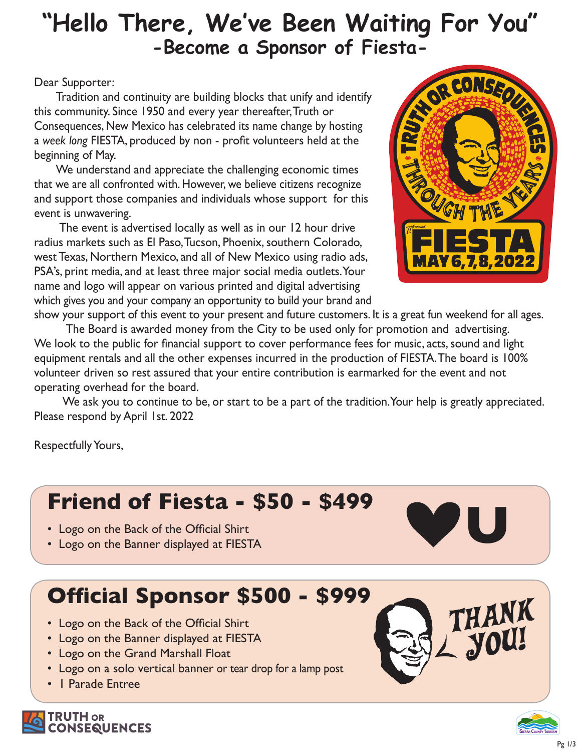# **"Hello There, We've Been Waiting For You" -Become a Sponsor of Fiesta-**

#### Dear Supporter:

 Tradition and continuity are building blocks that unify and identify this community. Since 1950 and every year thereafter, Truth or Consequences, New Mexico has celebrated its name change by hosting a *week long* FIESTA, produced by non - profit volunteers held at the beginning of May.

 We understand and appreciate the challenging economic times that we are all confronted with. However, we believe citizens recognize and support those companies and individuals whose support for this event is unwavering.

 The event is advertised locally as well as in our 12 hour drive radius markets such as El Paso, Tucson, Phoenix, southern Colorado, west Texas, Northern Mexico, and all of New Mexico using radio ads, PSA's, print media, and at least three major social media outlets. Your name and logo will appear on various printed and digital advertising which gives you and your company an opportunity to build your brand and



show your support of this event to your present and future customers. It is a great fun weekend for all ages. The Board is awarded money from the City to be used only for promotion and advertising. We look to the public for financial support to cover performance fees for music, acts, sound and light equipment rentals and all the other expenses incurred in the production of FIESTA. The board is 100% volunteer driven so rest assured that your entire contribution is earmarked for the event and not operating overhead for the board.

We ask you to continue to be, or start to be a part of the tradition. Your help is greatly appreciated. Please respond by April 1st. 2022

Respectfully Yours,

# **Friend of Fiesta - \$50 - \$499**

- Logo on the Back of the Official Shirt
- Logo on the Banner displayed at FIESTA

# **Official Sponsor \$500 - \$999**

- Logo on the Back of the Official Shirt
- Logo on the Banner displayed at FIESTA
- Logo on the Grand Marshall Float
- Logo on a solo vertical banner or tear drop for a lamp post
- 1 Parade Entree



**U**



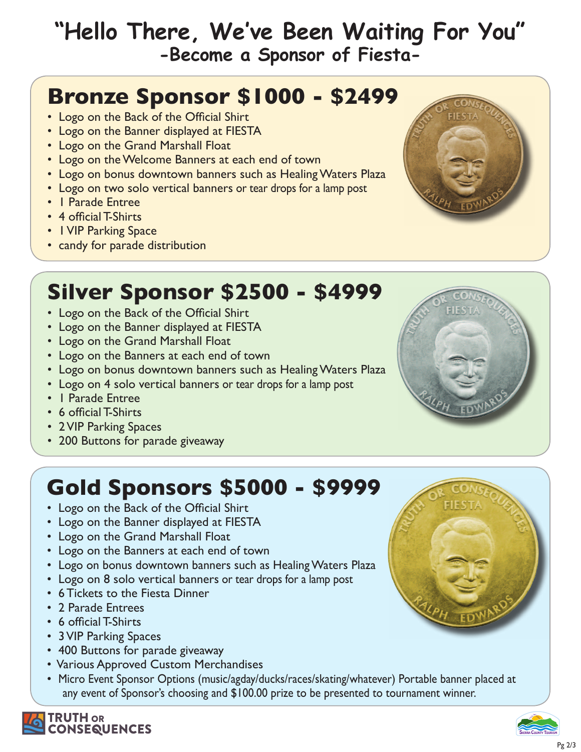## **"Hello There, We've Been Waiting For You" -Become a Sponsor of Fiesta-**

#### **Bronze Sponsor \$1000 - \$2499**

- Logo on the Back of the Official Shirt
- Logo on the Banner displayed at FIESTA
- Logo on the Grand Marshall Float
- Logo on the Welcome Banners at each end of town
- Logo on bonus downtown banners such as Healing Waters Plaza
- Logo on two solo vertical banners or tear drops for a lamp post
- 1 Parade Entree
- 4 official T-Shirts
- 1 VIP Parking Space
- candy for parade distribution



#### **Silver Sponsor \$2500 - \$4999**

- Logo on the Back of the Official Shirt
- Logo on the Banner displayed at FIESTA
- Logo on the Grand Marshall Float
- Logo on the Banners at each end of town
- Logo on bonus downtown banners such as Healing Waters Plaza
- Logo on 4 solo vertical banners or tear drops for a lamp post
- 1 Parade Entree
- 6 official T-Shirts
- 2 VIP Parking Spaces
- 200 Buttons for parade giveaway

# **Gold Sponsors \$5000 - \$9999**

- Logo on the Back of the Official Shirt
- Logo on the Banner displayed at FIESTA
- Logo on the Grand Marshall Float
- Logo on the Banners at each end of town
- Logo on bonus downtown banners such as Healing Waters Plaza
- Logo on 8 solo vertical banners or tear drops for a lamp post
- 6 Tickets to the Fiesta Dinner
- 2 Parade Entrees
- 6 official T-Shirts
- 3 VIP Parking Spaces
- 400 Buttons for parade giveaway
- Various Approved Custom Merchandises
- Micro Event Sponsor Options (music/agday/ducks/races/skating/whatever) Portable banner placed at any event of Sponsor's choosing and \$100.00 prize to be presented to tournament winner.